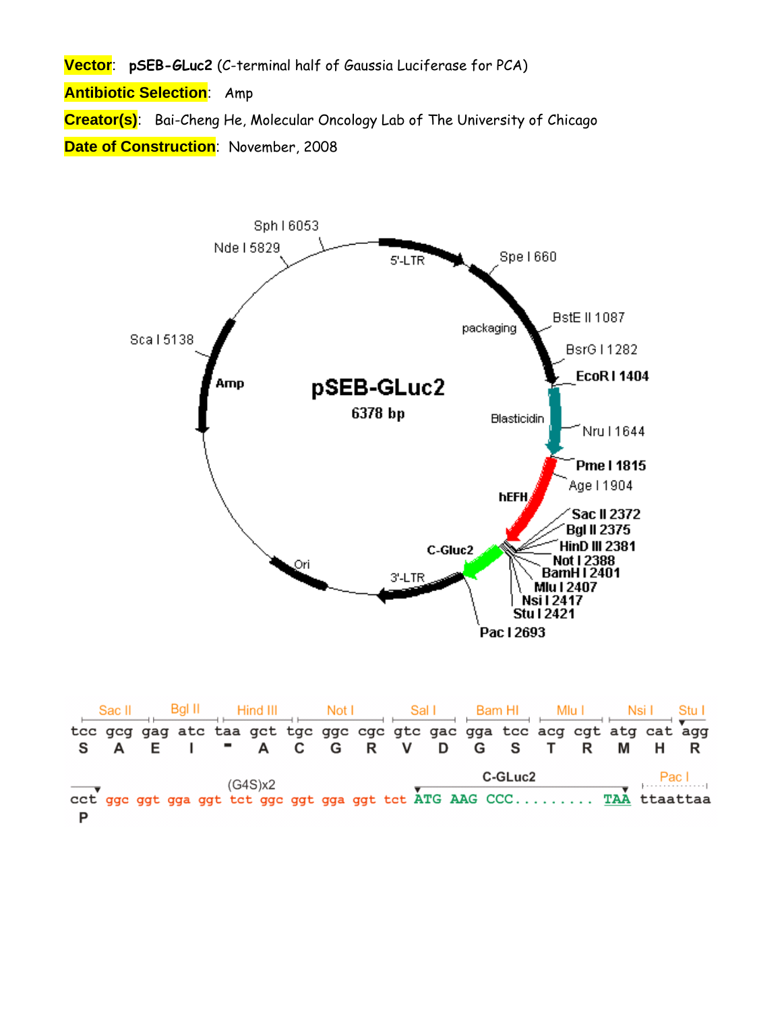**Vector**: **pSEB-GLuc2** (C-terminal half of Gaussia Luciferase for PCA)

**Antibiotic Selection**: Amp

**Creator(s)**: Bai-Cheng He, Molecular Oncology Lab of The University of Chicago **Date of Construction**: November, 2008



|   | Sac II | -Bal II | Hind III | Not I |                                                                         | Sal I | Bam HI  | Mlu I |   | Nsi L | Stu L |
|---|--------|---------|----------|-------|-------------------------------------------------------------------------|-------|---------|-------|---|-------|-------|
|   |        |         |          |       | tee geg gag ate taa get tge gge ege gte gae gga tee aeg egt atg eat agg |       |         |       |   |       |       |
|   |        |         |          |       | " A C G R V D G S T                                                     |       |         | R     | M | H     |       |
| D |        |         | (G4S)x2  |       | cct ggc ggt gga ggt tct ggc ggt gga ggt tct ATG AAG CCC TAA ttaattaa    |       | C-GLuc2 |       |   |       | Pac I |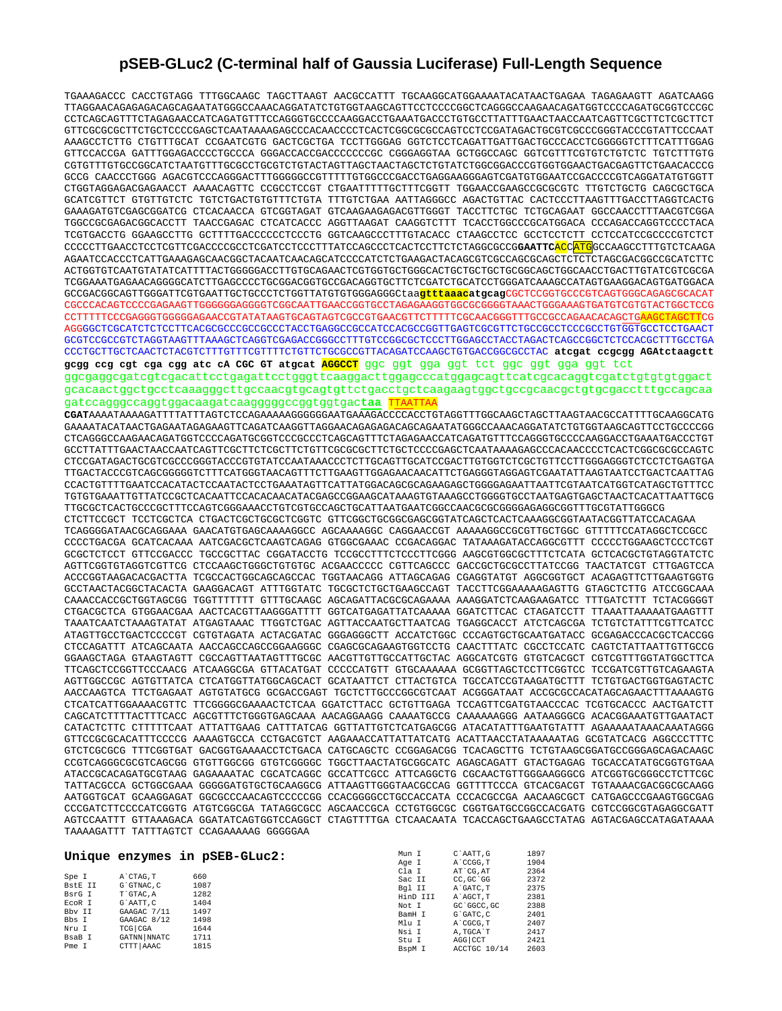## **pSEB-GLuc2 (C-terminal half of Gaussia Luciferase) Full-Length Sequence**

TGAAAGACCC CACCTGTAGG TTTGGCAAGC TAGCTTAAGT AACGCCATTT TGCAAGGCATGGAAAATACATAACTGAGAA TAGAGAAGTT AGATCAAGG TTAGGAACAGAGAGACAGCAGAATATGGGCCAAACAGGATATCTGTGGTAAGCAGTTCCTCCCCGGCTCAGGGCCAAGAACAGATGGTCCCCAGATGCGGTCCCGC CCTCAGCAGTTTCTAGAGAACCATCAGATGTTTCCAGGGTGCCCCAAGGACCTGAAATGACCCTGTGCCTTATTTGAACTAACCAATCAGTTCGCTTCTCGCTTCT GTTCGCGCGCTTCTGCTCCCCGAGCTCAATAAAAGAGCCCACAACCCCTCACTCGGCGCGCCAGTCCTCCGATAGACTGCGTCGCCCGGGTACCCGTATTCCCAAT AAAGCCTCTTG CTGTTTGCAT CCGAATCGTG GACTCGCTGA TCCTTGGGAG GGTCTCCTCAGATTGATTGACTGCCCACCTCGGGGGTCTTTCATTTGGAG GTTCCACCGA GATTTGGAGACCCCTGCCCA GGGACCACCGACCCCCCCGC CGGGAGGTAA GCTGGCCAGC GGTCGTTTCGTGTCTGTCTC TGTCTTTGTG CGTGTTTGTGCCGGCATCTAATGTTTGCGCCTGCGTCTGTACTAGTTAGCTAACTAGCTCTGTATCTGGCGGACCCGTGGTGGAACTGACGAGTTCTGAACACCCG GCCG CAACCCTGGG AGACGTCCCAGGGACTTTGGGGGCCGTTTTTGTGGCCCGACCTGAGGAAGGGAGTCGATGTGGAATCCGACCCCGTCAGGATATGTGGTT CTGGTAGGAGACGAGAACCT AAAACAGTTC CCGCCTCCGT CTGAATTTTTGCTTTCGGTT TGGAACCGAAGCCGCGCGTC TTGTCTGCTG CAGCGCTGCA GCATCGTTCT GTGTTGTCTC TGTCTGACTGTGTTTCTGTA TTTGTCTGAA AATTAGGGCC AGACTGTTAC CACTCCCTTAAGTTTGACCTTAGGTCACTG GAAAGATGTCGAGCGGATCG CTCACAACCA GTCGGTAGAT GTCAAGAAGAGACGTTGGGT TACCTTCTGC TCTGCAGAAT GGCCAACCTTTAACGTCGGA TGGCCGCGAGACGGCACCTT TAACCGAGAC CTCATCACCC AGGTTAAGAT CAAGGTCTTT TCACCTGGCCCGCATGGACA CCCAGACCAGGTCCCCTACA TCGTGACCTG GGAAGCCTTG GCTTTTGACCCCCCTCCCTG GGTCAAGCCCTTTGTACACC CTAAGCCTCC GCCTCCTCTT CCTCCATCCGCCCCGTCTCT CCCCCTTGAACCTCCTCGTTCGACCCCGCCTCGATCCTCCCTTTATCCAGCCCTCACTCCTTCTCTAGGCGCCG**GAATTC**ACCATGGCCAAGCCTTTGTCTCAAGA AGAATCCACCCTCATTGAAAGAGCAACGGCTACAATCAACAGCATCCCCATCTCTGAAGACTACAGCGTCGCCAGCGCAGCTCTCTCTAGCGACGGCCGCATCTTC ACTGGTGTCAATGTATATCATTTTACTGGGGGACCTTGTGCAGAACTCGTGGTGCTGGGCACTGCTGCTGCTGCGGCAGCTGGCAACCTGACTTGTATCGTCGCGA TCGGAAATGAGAACAGGGGCATCTTGAGCCCCTGCGGACGGTGCCGACAGGTGCTTCTCGATCTGCATCCTGGGATCAAAGCCATAGTGAAGGACAGTGATGGACA GCCGACGGCAGTTGGGATTCGTGAATTGCTGCCCTCTGGTTATGTGTGGGAGGGCtaa**gtttaaacatgcag**CGCTCCGGTGCCCGTCAGTGGGCAGAGCGCACAT CGCCCACAGTCCCCGAGAAGTTGGGGGGAGGGGTCGGCAATTGAACCGGTGCCTAGAGAAGGTGGCGCGGGGTAAACTGGGAAAGTGATGTCGTGTACTGGCTCCG CCTTTTTCCCGAGGGTGGGGGAGAACCGTATATAAGTGCAGTAGTCGCCGTGAACGTTCTTTTTCGCAACGGGTTTGCCGCCAGAACACAGCTGAAGCTAGCTTCG AGGGGCTCGCATCTCTCCTTCACGCGCCCGCCGCCCTACCTGAGGCCGCCATCCACGCCGGTTGAGTCGCGTTCTGCCGCCTCCCGCCTGTGGTGCCTCCTGAACT GCGTCCGCCGTCTAGGTAAGTTTAAAGCTCAGGTCGAGACCGGGCCTTTGTCCGGCGCTCCCTTGGAGCCTACCTAGACTCAGCCGGCTCTCCACGCTTTGCCTGA CCCTGCTTGCTCAACTCTACGTCTTTGTTTCGTTTTCTGTTCTGCGCCGTTACAGATCCAAGCTGTGACCGGCGCCTAC **atcgat ccgcgg AGAtctaagctt gcgg ccg cgt cga cgg atc cA CGC GT atgcat AGGCCT** ggc ggt gga ggt tct ggc ggt gga ggt tct ggcgaggcgatcgtcgacattcctgagattcctgggttcaaggacttggagcccatggagcagttcatcgcacaggtcgatctgtgtgtggact gcacaactggctgcctcaaagggcttgccaacgtgcagtgttctgacctgctcaagaagtggctgccgcaacgctgtgcgacctttgccagcaa gatccagggccaggtggacaagatcaagggggccggtggtgac**taa** TTAATTAA **CGAT**AAAATAAAAGATTTTATTTAGTCTCCAGAAAAAGGGGGGAATGAAAGACCCCACCTGTAGGTTTGGCAAGCTAGCTTAAGTAACGCCATTTTGCAAGGCATG GAAAATACATAACTGAGAATAGAGAAGTTCAGATCAAGGTTAGGAACAGAGAGACAGCAGAATATGGGCCAAACAGGATATCTGTGGTAAGCAGTTCCTGCCCCGG CTCAGGGCCAAGAACAGATGGTCCCCAGATGCGGTCCCGCCCTCAGCAGTTTCTAGAGAACCATCAGATGTTTCCAGGGTGCCCCAAGGACCTGAAATGACCCTGT GCCTTATTTGAACTAACCAATCAGTTCGCTTCTCGCTTCTGTTCGCGCGCTTCTGCTCCCCGAGCTCAATAAAAGAGCCCACAACCCCTCACTCGGCGCGCCAGTC CTCCGATAGACTGCGTCGCCCGGGTACCCGTGTATCCAATAAACCCTCTTGCAGTTGCATCCGACTTGTGGTCTCGCTGTTCCTTGGGAGGGTCTCCTCTGAGTGA TTGACTACCCGTCAGCGGGGGTCTTTCATGGGTAACAGTTTCTTGAAGTTGGAGAACAACATTCTGAGGGTAGGAGTCGAATATTAAGTAATCCTGACTCAATTAG CCACTGTTTTGAATCCACATACTCCAATACTCCTGAAATAGTTCATTATGGACAGCGCAGAAGAGCTGGGGAGAATTAATTCGTAATCATGGTCATAGCTGTTTCC TGTGTGAAATTGTTATCCGCTCACAATTCCACACAACATACGAGCCGGAAGCATAAAGTGTAAAGCCTGGGGTGCCTAATGAGTGAGCTAACTCACATTAATTGCG TTGCGCTCACTGCCCGCTTTCCAGTCGGGAAACCTGTCGTGCCAGCTGCATTAATGAATCGGCCAACGCGCGGGGAGAGGCGGTTTGCGTATTGGGCG CTCTTCCGCT TCCTCGCTCA CTGACTCGCTGCGCTCGGTC GTTCGGCTGCGGCGAGCGGTATCAGCTCACTCAAAGGCGGTAATACGGTTATCCACAGAA TCAGGGGATAACGCAGGAAA GAACATGTGAGCAAAAGGCC AGCAAAAGGC CAGGAACCGT AAAAAGGCCGCGTTGCTGGC GTTTTTCCATAGGCTCCGCC CCCCTGACGA GCATCACAAA AATCGACGCTCAAGTCAGAG GTGGCGAAAC CCGACAGGAC TATAAAGATACCAGGCGTTT CCCCCTGGAAGCTCCCTCGT GCGCTCTCCT GTTCCGACCC TGCCGCTTAC CGGATACCTG TCCGCCTTTCTCCCTTCGGG AAGCGTGGCGCTTTCTCATA GCTCACGCTGTAGGTATCTC AGTTCGGTGTAGGTCGTTCG CTCCAAGCTGGGCTGTGTGC ACGAACCCCC CGTTCAGCCC GACCGCTGCGCCTTATCCGG TAACTATCGT CTTGAGTCCA ACCCGGTAAGACACGACTTA TCGCCACTGGCAGCAGCCAC TGGTAACAGG ATTAGCAGAG CGAGGTATGT AGGCGGTGCT ACAGAGTTCTTGAAGTGGTG GCCTAACTACGGCTACACTA GAAGGACAGT ATTTGGTATC TGCGCTCTGCTGAAGCCAGT TACCTTCGGAAAAAGAGTTG GTAGCTCTTG ATCCGGCAAA CAAACCACCGCTGGTAGCGG TGGTTTTTTT GTTTGCAAGC AGCAGATTACGCGCAGAAAA AAAGGATCTCAAGAAGATCC TTTGATCTTT TCTACGGGGT CTGACGCTCA GTGGAACGAA AACTCACGTTAAGGGATTTT GGTCATGAGATTATCAAAAA GGATCTTCAC CTAGATCCTT TTAAATTAAAAATGAAGTTT TAAATCAATCTAAAGTATAT ATGAGTAAAC TTGGTCTGAC AGTTACCAATGCTTAATCAG TGAGGCACCT ATCTCAGCGA TCTGTCTATTTCGTTCATCC ATAGTTGCCTGACTCCCCGT CGTGTAGATA ACTACGATAC GGGAGGGCTT ACCATCTGGC CCCAGTGCTGCAATGATACC GCGAGACCCACGCTCACCGG CTCCAGATTT ATCAGCAATA AACCAGCCAGCCGGAAGGGC CGAGCGCAGAAGTGGTCCTG CAACTTTATC CGCCTCCATC CAGTCTATTAATTGTTGCCG GGAAGCTAGA GTAAGTAGTT CGCCAGTTAATAGTTTGCGC AACGTTGTTGCCATTGCTAC AGGCATCGTG GTGTCACGCT CGTCGTTTGGTATGGCTTCA TTCAGCTCCGGTTCCCAACG ATCAAGGCGA GTTACATGAT CCCCCATGTT GTGCAAAAAA GCGGTTAGCTCCTTCGGTCC TCCGATCGTTGTCAGAAGTA AGTTGGCCGC AGTGTTATCA CTCATGGTTATGGCAGCACT GCATAATTCT CTTACTGTCA TGCCATCCGTAAGATGCTTT TCTGTGACTGGTGAGTACTC AACCAAGTCA TTCTGAGAAT AGTGTATGCG GCGACCGAGT TGCTCTTGCCCGGCGTCAAT ACGGGATAAT ACCGCGCCACATAGCAGAACTTTAAAAGTG CTCATCATTGGAAAACGTTC TTCGGGGCGAAAACTCTCAA GGATCTTACC GCTGTTGAGA TCCAGTTCGATGTAACCCAC TCGTGCACCC AACTGATCTT CAGCATCTTTTACTTTCACC AGCGTTTCTGGGTGAGCAAA AACAGGAAGG CAAAATGCCG CAAAAAAGGG AATAAGGGCG ACACGGAAATGTTGAATACT CATACTCTTC CTTTTTCAAT ATTATTGAAG CATTTATCAG GGTTATTGTCTCATGAGCGG ATACATATTTGAATGTATTT AGAAAAATAAACAAATAGGG GTTCCGCGCACATTTCCCCG AAAAGTGCCA CCTGACGTCT AAGAAACCATTATTATCATG ACATTAACCTATAAAAATAG GCGTATCACG AGGCCCTTTC GTCTCGCGCG TTTCGGTGAT GACGGTGAAAACCTCTGACA CATGCAGCTC CCGGAGACGG TCACAGCTTG TCTGTAAGCGGATGCCGGGAGCAGACAAGC CCGTCAGGGCGCGTCAGCGG GTGTTGGCGG GTGTCGGGGC TGGCTTAACTATGCGGCATC AGAGCAGATT GTACTGAGAG TGCACCATATGCGGTGTGAA ATACCGCACAGATGCGTAAG GAGAAAATAC CGCATCAGGC GCCATTCGCC ATTCAGGCTG CGCAACTGTTGGGAAGGGCG ATCGGTGCGGGCCTCTTCGC TATTACGCCA GCTGGCGAAA GGGGGATGTGCTGCAAGGCG ATTAAGTTGGGTAACGCCAG GGTTTTCCCA GTCACGACGT TGTAAAACGACGGCGCAAGG AATGGTGCAT GCAAGGAGAT GGCGCCCAACAGTCCCCCGG CCACGGGGCCTGCCACCATA CCCACGCCGA AACAAGCGCT CATGAGCCCGAAGTGGCGAG CCCGATCTTCCCCATCGGTG ATGTCGGCGA TATAGGCGCC AGCAACCGCA CCTGTGGCGC CGGTGATGCCGGCCACGATG CGTCCGGCGTAGAGGCGATT AGTCCAATTT GTTAAAGACA GGATATCAGTGGTCCAGGCT CTAGTTTTGA CTCAACAATA TCACCAGCTGAAGCCTATAG AGTACGAGCCATAGATAAAA TAAAAGATTT TATTTAGTCT CCAGAAAAAG GGGGGAA

## **Unique enzymes in pSEB-GLuc2:**

|                                                                                     |                                                                                                                    | Unique enzymes in pSEB-GLuc2:                                       | Mun I<br>Age I                                                                                | C`AATT.G<br>A CCGG.T                                                                                                          | 1897<br>1904                                                                 |
|-------------------------------------------------------------------------------------|--------------------------------------------------------------------------------------------------------------------|---------------------------------------------------------------------|-----------------------------------------------------------------------------------------------|-------------------------------------------------------------------------------------------------------------------------------|------------------------------------------------------------------------------|
| Spe I<br>BstE II<br>BsrG I<br>EcoR I<br>Bby II<br>Bbs I<br>Nru I<br>BsaB I<br>Pme I | A CTAG.T<br>G`GTNAC.C<br>T`GTAC.A<br>G`AATT.C<br>GAAGAC 7/11<br>GAAGAC 8/12<br>TCG CGA<br>GATNN NNATC<br>CTTT AAAC | 660<br>1087<br>1282<br>1404<br>1497<br>1498<br>1644<br>1711<br>1815 | Cla I<br>Sac II<br>Bgl II<br>HinD III<br>Not I<br>BamH I<br>Mlu I<br>Nsi I<br>Stu I<br>BspM I | AT CG. AT<br>CC.GC GG<br>A GATC. T<br>A AGCT.T<br>GC `GGCC.GC<br>G`GATC.C<br>A CGCG, T<br>A.TGCA`T<br>AGG CCT<br>ACCTGC 10/14 | 2364<br>2372<br>2375<br>2381<br>2388<br>2401<br>2407<br>2417<br>2421<br>2603 |
|                                                                                     |                                                                                                                    |                                                                     |                                                                                               |                                                                                                                               |                                                                              |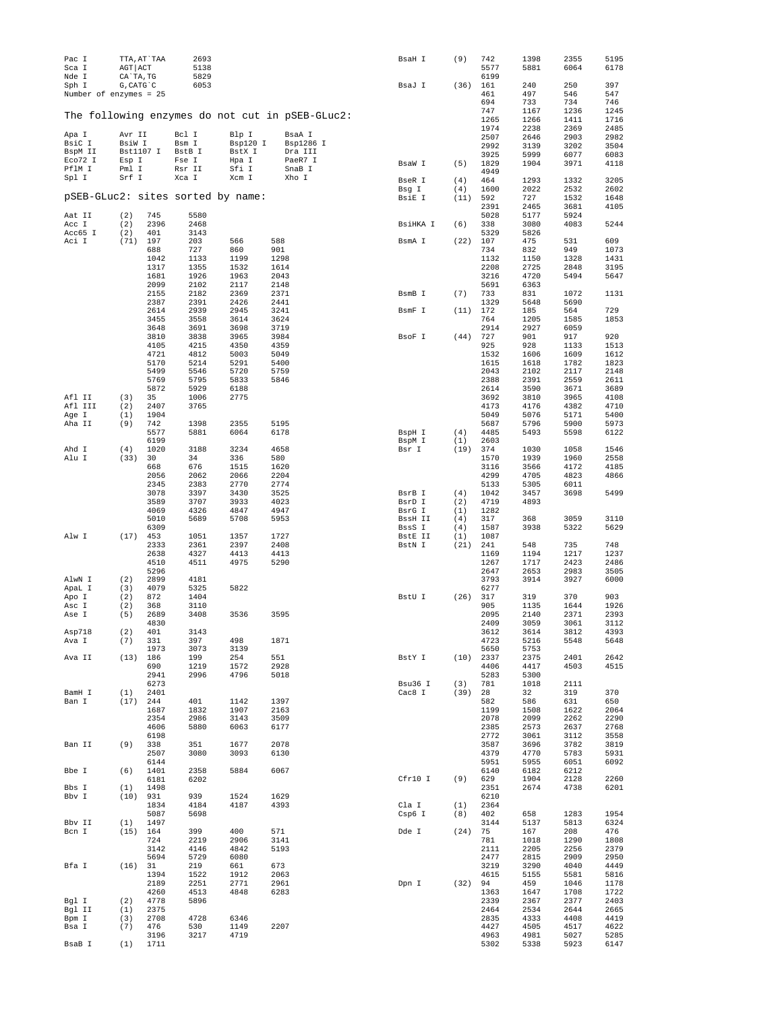| Pac I<br>Sca I<br>Nde I           | TTA, AT`TAA<br>AGT ACT<br>CA`TA, TG |              | 2693<br>5138<br>5829 |                   |                                                 | BsaH I            | (9)        | 742<br>5577<br>6199 | 1398<br>5881 | 2355<br>6064 | 5195<br>6178 |
|-----------------------------------|-------------------------------------|--------------|----------------------|-------------------|-------------------------------------------------|-------------------|------------|---------------------|--------------|--------------|--------------|
| Sph I<br>Number of enzymes = 25   | $G$ , CAT $G$ $C$                   |              | 6053                 |                   |                                                 | BsaJ I            | (36)       | 161<br>461          | 240<br>497   | 250<br>546   | 397<br>547   |
|                                   |                                     |              |                      |                   |                                                 |                   |            | 694<br>747          | 733<br>1167  | 734          | 746<br>1245  |
|                                   |                                     |              |                      |                   | The following enzymes do not cut in pSEB-GLuc2: |                   |            | 1265                | 1266         | 1236<br>1411 | 1716         |
|                                   |                                     |              |                      |                   |                                                 |                   |            | 1974                | 2238         | 2369         | 2485         |
| Apa I<br>BsiC I                   | Avr II<br>BsiW I                    |              | Bcl I<br>Bsm I       | Blp I<br>Bsp120 I | BsaA I<br>Bsp1286 I                             |                   |            | 2507                | 2646         | 2903         | 2982         |
| BspM II                           | Bst1107 I                           |              | BstB I               | BstX I            | Dra III                                         |                   |            | 2992                | 3139         | 3202         | 3504         |
| Eco72 I                           | Esp I                               |              | Fse I                | Hpa I             | PaeR7 I                                         | BsaW I            | (5)        | 3925<br>1829        | 5999<br>1904 | 6077<br>3971 | 6083<br>4118 |
| PflM I                            | Pml I                               |              | Rsr II               | Sfi I             | SnaB I                                          |                   |            | 4949                |              |              |              |
| Spl I                             | Srf I                               |              | Xca I                | Xcm I             | Xho I                                           | BseR I            | (4)        | 464                 | 1293         | 1332         | 3205         |
|                                   |                                     |              |                      |                   |                                                 | Bsg I             | (4)        | 1600                | 2022         | 2532         | 2602         |
| pSEB-GLuc2: sites sorted by name: |                                     |              |                      |                   |                                                 | BsiE I            | (11)       | 592<br>2391         | 727<br>2465  | 1532<br>3681 | 1648<br>4105 |
| Aat II                            | (2)                                 | 745          | 5580                 |                   |                                                 |                   |            | 5028                | 5177         | 5924         |              |
| Acc I                             | (2)                                 | 2396         | 2468                 |                   |                                                 | BsiHKA I          | (6)        | 338                 | 3080         | 4083         | 5244         |
| Acc65 I                           | (2)                                 | 401<br>197   | 3143<br>203          |                   | 588                                             |                   |            | 5329<br>107         | 5826<br>475  |              | 609          |
| Aci I                             | (71)                                | 688          | 727                  | 566<br>860        | 901                                             | BsmA I            | (22)       | 734                 | 832          | 531<br>949   | 1073         |
|                                   |                                     | 1042         | 1133                 | 1199              | 1298                                            |                   |            | 1132                | 1150         | 1328         | 1431         |
|                                   |                                     | 1317         | 1355                 | 1532              | 1614                                            |                   |            | 2208                | 2725         | 2848         | 3195         |
|                                   |                                     | 1681<br>2099 | 1926<br>2102         | 1963<br>2117      | 2043<br>2148                                    |                   |            | 3216<br>5691        | 4720<br>6363 | 5494         | 5647         |
|                                   |                                     | 2155         | 2182                 | 2369              | 2371                                            | BsmB I            | (7)        | 733                 | 831          | 1072         | 1131         |
|                                   |                                     | 2387         | 2391                 | 2426              | 2441                                            |                   |            | 1329                | 5648         | 5690         |              |
|                                   |                                     | 2614         | 2939                 | 2945              | 3241                                            | BsmF I            | (11)       | 172                 | 185          | 564          | 729          |
|                                   |                                     | 3455<br>3648 | 3558<br>3691         | 3614<br>3698      | 3624<br>3719                                    |                   |            | 764<br>2914         | 1205<br>2927 | 1585<br>6059 | 1853         |
|                                   |                                     | 3810         | 3838                 | 3965              | 3984                                            | BsoF I            | (44)       | 727                 | 901          | 917          | 920          |
|                                   |                                     | 4105         | 4215                 | 4350              | 4359                                            |                   |            | 925                 | 928          | 1133         | 1513         |
|                                   |                                     | 4721         | 4812                 | 5003              | 5049                                            |                   |            | 1532                | 1606         | 1609         | 1612         |
|                                   |                                     | 5170<br>5499 | 5214<br>5546         | 5291<br>5720      | 5400<br>5759                                    |                   |            | 1615<br>2043        | 1618<br>2102 | 1782<br>2117 | 1823<br>2148 |
|                                   |                                     | 5769         | 5795                 | 5833              | 5846                                            |                   |            | 2388                | 2391         | 2559         | 2611         |
|                                   |                                     | 5872         | 5929                 | 6188              |                                                 |                   |            | 2614                | 3590         | 3671         | 3689         |
| Afl II                            | (3)                                 | 35           | 1006                 | 2775              |                                                 |                   |            | 3692                | 3810         | 3965         | 4108         |
| Afl III<br>Age I                  | (2)<br>(1)                          | 2407<br>1904 | 3765                 |                   |                                                 |                   |            | 4173<br>5049        | 4176<br>5076 | 4382<br>5171 | 4710<br>5400 |
| Aha II                            | (9)                                 | 742          | 1398                 | 2355              | 5195                                            |                   |            | 5687                | 5796         | 5900         | 5973         |
|                                   |                                     | 5577         | 5881                 | 6064              | 6178                                            | BspH I            | (4)        | 4485                | 5493         | 5598         | 6122         |
|                                   |                                     | 6199         |                      |                   |                                                 | BspM I            | (1)        | 2603                |              |              |              |
| Ahd I<br>Alu I                    | (4)<br>(33)                         | 1020<br>30   | 3188<br>34           | 3234<br>336       | 4658<br>580                                     | Bsr I             | (19)       | 374<br>1570         | 1030<br>1939 | 1058<br>1960 | 1546<br>2558 |
|                                   |                                     | 668          | 676                  | 1515              | 1620                                            |                   |            | 3116                | 3566         | 4172         | 4185         |
|                                   |                                     | 2056         | 2062                 | 2066              | 2204                                            |                   |            | 4299                | 4705         | 4823         | 4866         |
|                                   |                                     | 2345<br>3078 | 2383<br>3397         | 2770<br>3430      | 2774<br>3525                                    | BsrB I            | (4)        | 5133<br>1042        | 5305<br>3457 | 6011<br>3698 | 5499         |
|                                   |                                     | 3589         | 3707                 | 3933              | 4023                                            | BsrD I            | (2)        | 4719                | 4893         |              |              |
|                                   |                                     | 4069         | 4326                 | 4847              | 4947                                            | BsrG I            | (1)        | 1282                |              |              |              |
|                                   |                                     | 5010         | 5689                 | 5708              | 5953                                            | BssH II           | (4)        | 317                 | 368          | 3059         | 3110         |
| Alw I                             | (17)                                | 6309<br>453  | 1051                 | 1357              | 1727                                            | BssS I<br>BstE II | (4)<br>(1) | 1587<br>1087        | 3938         | 5322         | 5629         |
|                                   |                                     | 2333         | 2361                 | 2397              | 2408                                            | BstN I            | (21)       | 241                 | 548          | 735          | 748          |
|                                   |                                     | 2638         | 4327                 | 4413              | 4413                                            |                   |            | 1169                | 1194         | 1217         | 1237         |
|                                   |                                     | 4510         | 4511                 | 4975              | 5290                                            |                   |            | 1267                | 1717         | 2423         | 2486         |
| AlwN I                            | (2)                                 | 5296<br>2899 | 4181                 |                   |                                                 |                   |            | 2647<br>3793        | 2653<br>3914 | 2983<br>3927 | 3505<br>6000 |
| ApaL I                            | (3)                                 | 4079         | 5325                 | 5822              |                                                 |                   |            | 6277                |              |              |              |
| Apo I                             | (2)                                 | 872          | 1404                 |                   |                                                 | BstU I            | (26)       | 317                 | 319          | 370          | 903          |
| Asc I                             | (2)                                 | 368          | 3110                 |                   | 3595                                            |                   |            | 905<br>2095         | 1135         | 1644         | 1926         |
| Ase I                             | (5)                                 | 2689<br>4830 | 3408                 | 3536              |                                                 |                   |            | 2409                | 2140<br>3059 | 2371<br>3061 | 2393<br>3112 |
| Asp718                            | (2)                                 | 401          | 3143                 |                   |                                                 |                   |            | 3612                | 3614         | 3812         | 4393         |
| Ava I                             | (7)                                 | 331          | 397                  | 498               | 1871                                            |                   |            | 4723                | 5216         | 5548         | 5648         |
| Ava II                            | (13)                                | 1973<br>186  | 3073<br>199          | 3139<br>254       | 551                                             | BstY I            | (10)       | 5650<br>2337        | 5753<br>2375 | 2401         | 2642         |
|                                   |                                     | 690          | 1219                 | 1572              | 2928                                            |                   |            | 4406                | 4417         | 4503         | 4515         |
|                                   |                                     | 2941         | 2996                 | 4796              | 5018                                            |                   |            | 5283                | 5300         |              |              |
|                                   |                                     | 6273         |                      |                   |                                                 | Bsu36 I           | (3)        | 781                 | 1018         | 2111         |              |
| BamH I<br>Ban I                   | (1)<br>$(17)$ 244                   | 2401         | 401                  | 1142              | 1397                                            | Cac8 I            | (39)       | 28<br>582           | 32<br>586    | 319<br>631   | 370<br>650   |
|                                   |                                     | 1687         | 1832                 | 1907              | 2163                                            |                   |            | 1199                | 1508         | 1622         | 2064         |
|                                   |                                     | 2354         | 2986                 | 3143              | 3509                                            |                   |            | 2078                | 2099         | 2262         | 2290         |
|                                   |                                     | 4606         | 5880                 | 6063              | 6177                                            |                   |            | 2385                | 2573         | 2637         | 2768         |
| Ban II                            | (9)                                 | 6198<br>338  | 351                  | 1677              | 2078                                            |                   |            | 2772<br>3587        | 3061<br>3696 | 3112<br>3782 | 3558<br>3819 |
|                                   |                                     | 2507         | 3080                 | 3093              | 6130                                            |                   |            | 4379                | 4770         | 5783         | 5931         |
|                                   |                                     | 6144         |                      |                   |                                                 |                   |            | 5951                | 5955         | 6051         | 6092         |
| Bbe I                             | (6)                                 | 1401         | 2358                 | 5884              | 6067                                            | Cfr10 I           |            | 6140                | 6182         | 6212         |              |
| Bbs I                             | (1)                                 | 6181<br>1498 | 6202                 |                   |                                                 |                   | (9)        | 629<br>2351         | 1904<br>2674 | 2128<br>4738 | 2260<br>6201 |
| Bbv I                             | $(10)$ 931                          |              | 939                  | 1524              | 1629                                            |                   |            | 6210                |              |              |              |
|                                   |                                     | 1834         | 4184                 | 4187              | 4393                                            | Cla I             | (1)        | 2364                |              |              |              |
| Bbv II                            | (1)                                 | 5087<br>1497 | 5698                 |                   |                                                 | Csp6 I            | (8)        | 402<br>3144         | 658<br>5137  | 1283<br>5813 | 1954<br>6324 |
| Bcn I                             | (15) 164                            |              | 399                  | 400               | 571                                             | Dde I             | (24)       | 75                  | 167          | 208          | 476          |
|                                   |                                     | 724          | 2219                 | 2906              | 3141                                            |                   |            | 781                 | 1018         | 1290         | 1808         |
|                                   |                                     | 3142         | 4146                 | 4842              | 5193                                            |                   |            | 2111                | 2205         | 2256         | 2379         |
| Bfa I                             |                                     | 5694<br>31   | 5729<br>219          | 6080<br>661       | 673                                             |                   |            | 2477<br>3219        | 2815<br>3290 | 2909<br>4040 | 2950<br>4449 |
|                                   | (16)                                | 1394         | 1522                 | 1912              | 2063                                            |                   |            | 4615                | 5155         | 5581         | 5816         |
|                                   |                                     | 2189         | 2251                 | 2771              | 2961                                            | Dpn I             | (32)       | 94                  | 459          | 1046         | 1178         |
|                                   |                                     | 4260         | 4513                 | 4848              | 6283                                            |                   |            | 1363                | 1647         | 1708         | 1722         |
| Bgl I<br>Bgl II                   | (2)<br>(1)                          | 4778<br>2375 | 5896                 |                   |                                                 |                   |            | 2339<br>2464        | 2367<br>2534 | 2377<br>2644 | 2403<br>2665 |
| Bpm I                             | (3)                                 | 2708         | 4728                 | 6346              |                                                 |                   |            | 2835                | 4333         | 4408         | 4419         |
| Bsa I                             | (7)                                 | 476          | 530                  | 1149              | 2207                                            |                   |            | 4427                | 4505         | 4517         | 4622         |
|                                   |                                     | 3196         | 3217                 | 4719              |                                                 |                   |            | 4963                | 4981         | 5027         | 5285         |
| BsaB I                            | (1)                                 | 1711         |                      |                   |                                                 |                   |            | 5302                | 5338         | 5923         | 6147         |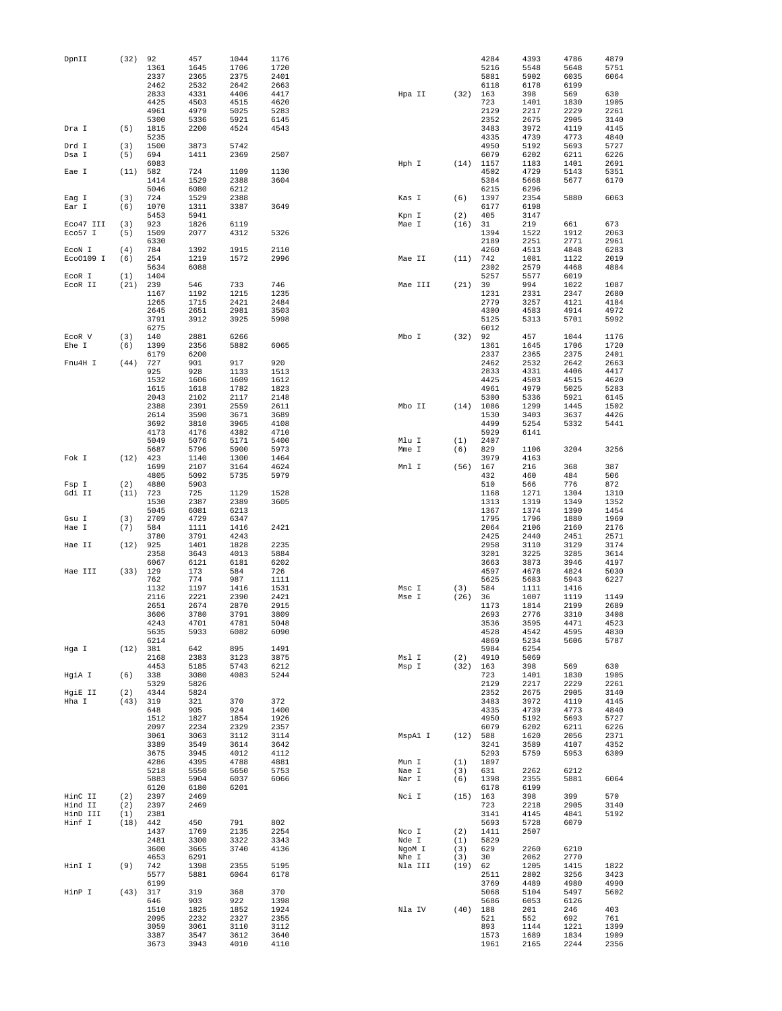| DpnII               | (32)        | 92           | 457          | 1044         | 1176         |                |             | 4284         | 4393         | 4786         | 4879         |
|---------------------|-------------|--------------|--------------|--------------|--------------|----------------|-------------|--------------|--------------|--------------|--------------|
|                     |             | 1361         | 1645         | 1706         | 1720         |                |             | 5216         | 5548         | 5648         | 5751         |
|                     |             | 2337         | 2365         | 2375         | 2401         |                |             | 5881         | 5902         | 6035         | 6064         |
|                     |             | 2462<br>2833 | 2532<br>4331 | 2642<br>4406 | 2663<br>4417 |                | (32)        | 6118         | 6178<br>398  | 6199<br>569  | 630          |
|                     |             | 4425         | 4503         | 4515         | 4620         | Hpa II         |             | 163<br>723   | 1401         | 1830         | 1905         |
|                     |             | 4961         | 4979         | 5025         | 5283         |                |             | 2129         | 2217         | 2229         | 2261         |
|                     |             | 5300         | 5336         | 5921         | 6145         |                |             | 2352         | 2675         | 2905         | 3140         |
| Dra I               | (5)         | 1815         | 2200         | 4524         | 4543         |                |             | 3483         | 3972         | 4119         | 4145         |
|                     |             | 5235         |              |              |              |                |             | 4335         | 4739         | 4773         | 4840         |
| Drd I               | (3)         | 1500         | 3873         | 5742         |              |                |             | 4950         | 5192         | 5693         | 5727         |
| Dsa I               | (5)         | 694          | 1411         | 2369         | 2507         |                |             | 6079         | 6202         | 6211         | 6226         |
|                     |             | 6083         |              |              |              | Hph I          | (14)        | 1157         | 1183         | 1401         | 2691         |
| Eae I               | (11)        | 582          | 724          | 1109         | 1130         |                |             | 4502         | 4729         | 5143         | 5351         |
|                     |             | 1414         | 1529         | 2388         | 3604         |                |             | 5384         | 5668         | 5677         | 6170         |
|                     |             | 5046         | 6080         | 6212         |              | Kas I          |             | 6215         | 6296         |              |              |
| Eag I<br>Ear I      | (3)<br>(6)  | 724<br>1070  | 1529<br>1311 | 2388<br>3387 | 3649         |                | (6)         | 1397<br>6177 | 2354<br>6198 | 5880         | 6063         |
|                     |             | 5453         | 5941         |              |              | Kpn I          | (2)         | 405          | 3147         |              |              |
| Eco47 III           | (3)         | 923          | 1826         | 6119         |              | Mae I          | (16)        | 31           | 219          | 661          | 673          |
| Eco57 I             | (5)         | 1509         | 2077         | 4312         | 5326         |                |             | 1394         | 1522         | 1912         | 2063         |
|                     |             | 6330         |              |              |              |                |             | 2189         | 2251         | 2771         | 2961         |
| ECON I              | (4)         | 784          | 1392         | 1915         | 2110         |                |             | 4260         | 4513         | 4848         | 6283         |
| Eco0109 I           | (6)         | 254          | 1219         | 1572         | 2996         | Mae II         | $(11)$ 742  |              | 1081         | 1122         | 2019         |
|                     |             | 5634         | 6088         |              |              |                |             | 2302         | 2579         | 4468         | 4884         |
| ECOR I              | (1)         | 1404         |              |              |              |                |             | 5257         | 5577         | 6019         |              |
| ECOR II             | (21)        | 239          | 546          | 733          | 746          | Mae III        | (21)        | 39           | 994          | 1022         | 1087         |
|                     |             | 1167         | 1192         | 1215         | 1235         |                |             | 1231         | 2331         | 2347         | 2680         |
|                     |             | 1265         | 1715         | 2421         | 2484         |                |             | 2779         | 3257         | 4121         | 4184         |
|                     |             | 2645         | 2651         | 2981         | 3503         |                |             | 4300         | 4583         | 4914         | 4972         |
|                     |             | 3791<br>6275 | 3912         | 3925         | 5998         |                |             | 5125<br>6012 | 5313         | 5701         | 5992         |
| ECOR V              | (3)         | 140          | 2881         | 6266         |              | Mbo I          | (32)        | 92           | 457          | 1044         | 1176         |
| Ehe I               | (6)         | 1399         | 2356         | 5882         | 6065         |                |             | 1361         | 1645         | 1706         | 1720         |
|                     |             | 6179         | 6200         |              |              |                |             | 2337         | 2365         | 2375         | 2401         |
| Fnu4H I             | (44)        | 727          | 901          | 917          | 920          |                |             | 2462         | 2532         | 2642         | 2663         |
|                     |             | 925          | 928          | 1133         | 1513         |                |             | 2833         | 4331         | 4406         | 4417         |
|                     |             | 1532         | 1606         | 1609         | 1612         |                |             | 4425         | 4503         | 4515         | 4620         |
|                     |             | 1615         | 1618         | 1782         | 1823         |                |             | 4961         | 4979         | 5025         | 5283         |
|                     |             | 2043         | 2102         | 2117         | 2148         |                |             | 5300         | 5336         | 5921         | 6145         |
|                     |             | 2388         | 2391         | 2559         | 2611         | Mbo II         | (14)        | 1086         | 1299         | 1445         | 1502         |
|                     |             | 2614         | 3590         | 3671         | 3689         |                |             | 1530         | 3403         | 3637         | 4426         |
|                     |             | 3692         | 3810         | 3965         | 4108         |                |             | 4499         | 5254         | 5332         | 5441         |
|                     |             | 4173         | 4176         | 4382         | 4710         |                |             | 5929         | 6141         |              |              |
|                     |             | 5049         | 5076         | 5171         | 5400         | Mlu I          | (1)         | 2407         |              |              | 3256         |
| Fok I               | (12)        | 5687<br>423  | 5796<br>1140 | 5900<br>1300 | 5973<br>1464 | Mme I          | (6)         | 829<br>3979  | 1106<br>4163 | 3204         |              |
|                     |             | 1699         | 2107         | 3164         | 4624         | Mnl I          | (56)        | 167          | 216          | 368          | 387          |
|                     |             | 4805         | 5092         | 5735         | 5979         |                |             | 432          | 460          | 484          | 506          |
| Fsp I               | (2)         | 4880         | 5903         |              |              |                |             | 510          | 566          | 776          | 872          |
| Gdi II              | (11)        | 723          | 725          | 1129         | 1528         |                |             | 1168         | 1271         | 1304         | 1310         |
|                     |             | 1530         | 2387         | 2389         | 3605         |                |             | 1313         | 1319         | 1349         | 1352         |
|                     |             | 5045         | 6081         | 6213         |              |                |             | 1367         | 1374         | 1390         | 1454         |
| Gsu I               | (3)         | 2709         | 4729         | 6347         |              |                |             | 1795         | 1796         | 1880         | 1969         |
| Hae I               | (7)         | 584          | 1111         | 1416         | 2421         |                |             | 2064         | 2106         | 2160         | 2176         |
|                     |             | 3780         | 3791         | 4243         |              |                |             | 2425         | 2440         | 2451         | 2571         |
| Hae II              | (12)        | 925          | 1401         | 1828         | 2235         |                |             | 2958         | 3110         | 3129         | 3174         |
|                     |             | 2358         | 3643         | 4013         | 5884         |                |             | 3201         | 3225         | 3285         | 3614         |
|                     |             | 6067         | 6121         | 6181         | 6202         |                |             | 3663         | 3873         | 3946         | 4197         |
| Hae III             | (33)        | 129          | 173          | 584          | 726          |                |             | 4597         | 4678         | 4824         | 5030         |
|                     |             | 762          | 774          | 987          | 1111         |                |             | 5625         | 5683         | 5943<br>1416 | 6227         |
|                     |             | 1132<br>2116 | 1197<br>2221 | 1416<br>2390 | 1531<br>2421 | Msc I<br>Mse I | (3)<br>(26) | 584<br>36    | 1111<br>1007 | 1119         | 1149         |
|                     |             | 2651         | 2674         | 2870         | 2915         |                |             | 1173         | 1814         | 2199         | 2689         |
|                     |             | 3606         | 3780         | 3791         | 3809         |                |             | 2693         | 2776         | 3310         | 3408         |
|                     |             | 4243         | 4701         | 4781         | 5048         |                |             | 3536         | 3595         | 4471         | 4523         |
|                     |             | 5635         | 5933         | 6082         | 6090         |                |             | 4528         | 4542         | 4595         | 4830         |
|                     |             | 6214         |              |              |              |                |             | 4869         | 5234         | 5606         | 5787         |
| Hga I               | (12) 381    |              | 642          | 895          | 1491         |                |             | 5984         | 6254         |              |              |
|                     |             | 2168         | 2383         | 3123         | 3875         | Msl I          | (2)         | 4910         | 5069         |              |              |
|                     |             | 4453         | 5185         | 5743         | 6212         | Msp I          | (32)        | 163          | 398          | 569          | 630          |
| HgiA I              | (6)         | 338          | 3080         | 4083         | 5244         |                |             | 723          | 1401         | 1830         | 1905         |
| HgiE II             | (2)         | 5329<br>4344 | 5826<br>5824 |              |              |                |             | 2129<br>2352 | 2217<br>2675 | 2229<br>2905 | 2261<br>3140 |
| Hha I               | (43)        | 319          | 321          | 370          | 372          |                |             | 3483         | 3972         | 4119         | 4145         |
|                     |             | 648          | 905          | 924          | 1400         |                |             | 4335         | 4739         | 4773         | 4840         |
|                     |             | 1512         | 1827         | 1854         | 1926         |                |             | 4950         | 5192         | 5693         | 5727         |
|                     |             | 2097         | 2234         | 2329         | 2357         |                |             | 6079         | 6202         | 6211         | 6226         |
|                     |             | 3061         | 3063         | 3112         | 3114         | MspA1 I        | (12)        | 588          | 1620         | 2056         | 2371         |
|                     |             | 3389         | 3549         | 3614         | 3642         |                |             | 3241         | 3589         | 4107         | 4352         |
|                     |             | 3675         | 3945         | 4012         | 4112         |                |             | 5293         | 5759         | 5953         | 6309         |
|                     |             | 4286         | 4395         | 4788         | 4881         | Mun I          | (1)         | 1897         |              |              |              |
|                     |             | 5218         | 5550         | 5650         | 5753         | Nae I          | (3)         | 631          | 2262         | 6212         |              |
|                     |             | 5883         | 5904         | 6037         | 6066         | Nar I          | (6)         | 1398         | 2355         | 5881         | 6064         |
|                     |             | 6120         | 6180         | 6201         |              |                |             | 6178         | 6199         |              |              |
| HinC II             | (2)         | 2397         | 2469         |              |              | Nci I          | (15)        | 163          | 398          | 399          | 570          |
| Hind II<br>HinD III | (2)         | 2397         | 2469         |              |              |                |             | 723<br>3141  | 2218<br>4145 | 2905<br>4841 | 3140<br>5192 |
| Hinf I              | (1)<br>(18) | 2381<br>442  | 450          | 791          | 802          |                |             | 5693         | 5728         | 6079         |              |
|                     |             | 1437         | 1769         | 2135         | 2254         | Nco I          | (2)         | 1411         | 2507         |              |              |
|                     |             | 2481         | 3300         | 3322         | 3343         | Nde I          | (1)         | 5829         |              |              |              |
|                     |             | 3600         | 3665         | 3740         | 4136         | NgoM I         | (3)         | 629          | 2260         | 6210         |              |
|                     |             | 4653         | 6291         |              |              | Nhe I          | (3)         | 30           | 2062         | 2770         |              |
| HinI I              | (9)         | 742          | 1398         | 2355         | 5195         | Nla III        | (19)        | 62           | 1205         | 1415         | 1822         |
|                     |             | 5577         | 5881         | 6064         | 6178         |                |             | 2511         | 2802         | 3256         | 3423         |
|                     |             | 6199         |              |              |              |                |             | 3769         | 4489         | 4980         | 4990         |
| HinP I              | (43)        | 317          | 319          | 368          | 370          |                |             | 5068         | 5104         | 5497         | 5602         |
|                     |             | 646          | 903          | 922          | 1398         |                |             | 5686         | 6053         | 6126         |              |
|                     |             | 1510         | 1825         | 1852         | 1924         | Nla IV         | $(40)$ 188  |              | 201          | 246          | 403          |
|                     |             | 2095         | 2232         | 2327         | 2355         |                |             | 521          | 552          | 692          | 761          |
|                     |             | 3059         | 3061         | 3110         | 3112         |                |             | 893          | 1144         | 1221         | 1399         |
|                     |             | 3387         | 3547         | 3612         | 3640         |                |             | 1573         | 1689         | 1834         | 1909         |
|                     |             | 3673         | 3943         | 4010         | 4110         |                |             | 1961         | 2165         | 2244         | 2356         |